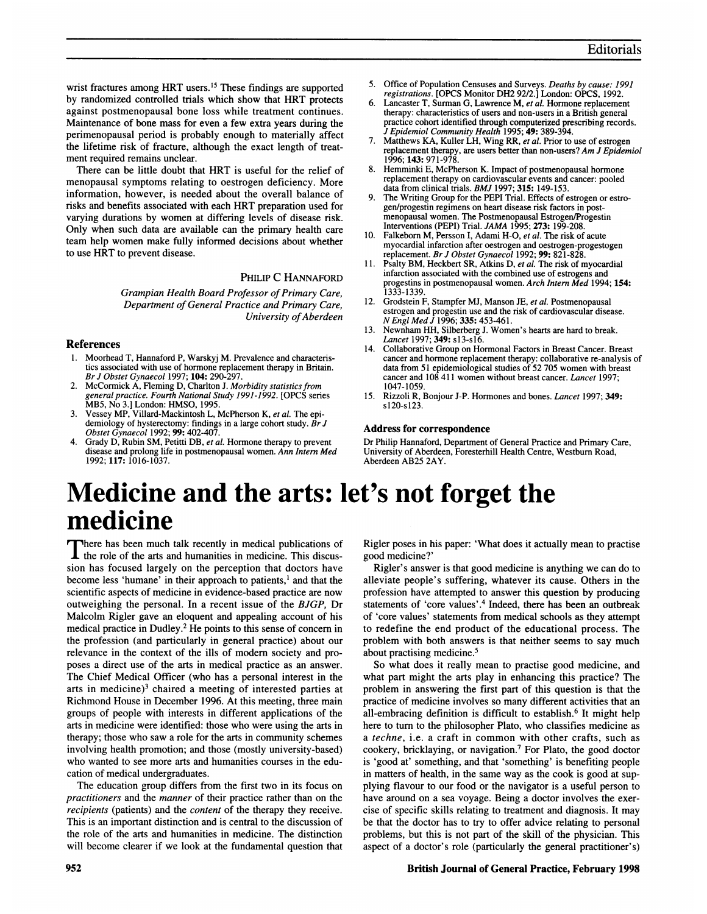wrist fractures among HRT users.<sup>15</sup> These findings are supported by randomized controlled trials which show that HRT protects against postmenopausal bone loss while treatment continues. Maintenance of bone mass for even a few extra years during the perimenopausal period is probably enough to materially affect the lifetime risk of fracture, although the exact length of treatment required remains unclear.

There can be little doubt that HRT is useful for the relief of menopausal symptoms relating to oestrogen deficiency. More information, however, is needed about the overall balance of risks and benefits associated with each HRT preparation used for varying durations by women at differing levels of disease risk. Only when such data are available can the primary health care team help women make fully informed decisions about whether to use HRT to prevent disease.

## PHILIP C HANNAFORD

Grampian Health Board Professor of Primary Care, Department of General Practice and Primary Care, University of Aberdeen

## References

- 1. Moorhead T, Hannaford P, Warskyj M. Prevalence and characteristics associated with use of hormone replacement therapy in Britain. Br J Obstet Gynaecol 1997; 104: 290-297.
- 2. McCormick A, Fleming D, Charlton J. Morbidity statistics from general practice. Fourth National Study 1991-1992. [OPCS series MB5, No 3.] London: HMSO, 1995.
- 3. Vessey MP, Villard-Mackintosh L, McPherson K, et al. The epidemiology of hysterectomy: findings in a large cohort study. *Br J*<br>Obstet Gynaecol 1992; **99:** 402-407.
- Grady D, Rubin SM, Petitti DB, et al. Hormone therapy to prevent disease and prolong life in postmenopausal women. Ann Intern Med 1992; 117: 1016-1037.
- 5. Office of Population Censuses and Surveys. Deaths by cause: 1991 registrations. [OPCS Monitor DH2 92/2.] London: OPCS, 1992.
- 6. Lancaster T, Surman G, Lawrence M, et al. Hormone replacement therapy: characteristics of users and non-users in a British general practice cohort identified through computerized prescribing records. J Epidemiol Community Health 1995; 49: 389-394.
- 7. Matthews KA, Kuller LH, Wing RR, et al. Prior to use of estrogen replacement therapy, are users better than non-users? Am J Epidemiol 1996; 143: 971-978.
- Hemminki E, McPherson K. Impact of postmenopausal hormone replacement therapy on cardiovascular events and cancer: pooled data from clinical trials. BMJ 1997; 315: 149-153.
- 9. The Writing Group for the PEPI Trial. Effects of estrogen or estrogen/progestin regimens on heart disease risk factors in postmenopausal women. The Postmenopausal Estrogen/Progestin Interventions (PEPI) Trial. JAMA 1995; 273: 199-208.
- 10. Falkeborn M, Persson I, Adami H-O, et al. The risk of acute myocardial infarction after oestrogen and oestrogen-progestogen replacement. Br J Obstet Gynaecol 1992; 99: 821-828.
- 11. Psalty BM, Heckbert SR, Atkins D, et al. The risk of myocardial infarction associated with the combined use of estrogens and progestins in postmenopausal women. Arch Intern Med 1994; 154: 1333-1339.
- 12. Grodstein F, Stampfer MJ, Manson JE, et al. Postmenopausal estrogen and progestin use and the risk of cardiovascular disease.<br>N Engl Med J 1996; 335: 453-461.
- 13. Newnham HH, Silberberg J. Women's hearts are hard to break. Lancet 1997; 349: s13-s16.
- 14. Collaborative Group on Hormonal Factors in Breast Cancer. Breast cancer and hormone replacement therapy: collaborative re-analysis of data from 51 epidemiological studies of 52 705 women with breast cancer and 108 411 women without breast cancer. Lancet 1997; 1047-1059.
- 15. Rizzoli R, Bonjour J-P. Hormones and bones. Lancet 1997; 349: sl20-s123.

#### Address for correspondence

Dr Philip Hannaford, Department of General Practice and Primary Care, University of Aberdeen, Foresterhill Health Centre, Westburn Road, Aberdeen AB25 2AY.

# Medicine and the arts: let's not forget the medicine

There has been much talk recently in medical publications of **the role of the arts and humanities in medicine. This discus**sion has focused largely on the perception that doctors have become less 'humane' in their approach to patients,' and that the scientific aspects of medicine in evidence-based practice are now outweighing the personal. In a recent issue of the BJGP, Dr Malcolm Rigler gave an eloquent and appealing account of his medical practice in Dudley.2 He points to this sense of concern in the profession (and particularly in general practice) about our relevance in the context of the ills of modem society and proposes a direct use of the arts in medical practice as an answer. The Chief Medical Officer (who has a personal interest in the arts in medicine)<sup>3</sup> chaired a meeting of interested parties at Richmond House in December 1996. At this meeting, three main groups of people with interests in different applications of the arts in medicine were identified: those who were using the arts in therapy; those who saw a role for the arts in community schemes involving health promotion; and those (mostly university-based) who wanted to see more arts and humanities courses in the education of medical undergraduates.

The education group differs from the first two in its focus on practitioners and the manner of their practice rather than on the recipients (patients) and the content of the therapy they receive. This is an important distinction and is central to the discussion of the role of the arts and humanities in medicine. The distinction will become clearer if we look at the fundamental question that Rigler poses in his paper: 'What does it actually mean to practise good medicine?'

Rigler's answer is that good medicine is anything we can do to alleviate people's suffering, whatever its cause. Others in the profession have attempted to answer this question by producing statements of 'core values'.4 Indeed, there has been an outbreak of 'core values' statements from medical schools as they attempt to redefine the end product of the educational process. The problem with both answers is that neither seems to say much about practising medicine.5

So what does it really mean to practise good medicine, and what part might the arts play in enhancing this practice? The problem in answering the first part of this question is that the practice of medicine involves so many different activities that an all-embracing definition is difficult to establish.<sup>6</sup> It might help here to turn to the philosopher Plato, who classifies medicine as <sup>a</sup> techne, i.e. <sup>a</sup> craft in common with other crafts, such as cookery, bricklaying, or navigation.7 For Plato, the good doctor is 'good at' something, and that 'something' is benefiting people in matters of health, in the same way as the cook is good at supplying flavour to our food or the navigator is a useful person to have around on a sea voyage. Being a doctor involves the exercise of specific skills relating to treatment and diagnosis. It may be that the doctor has to try to offer advice relating to personal problems, but this is not part of the skill of the physician. This aspect of a doctor's role (particularly the general practitioner's)